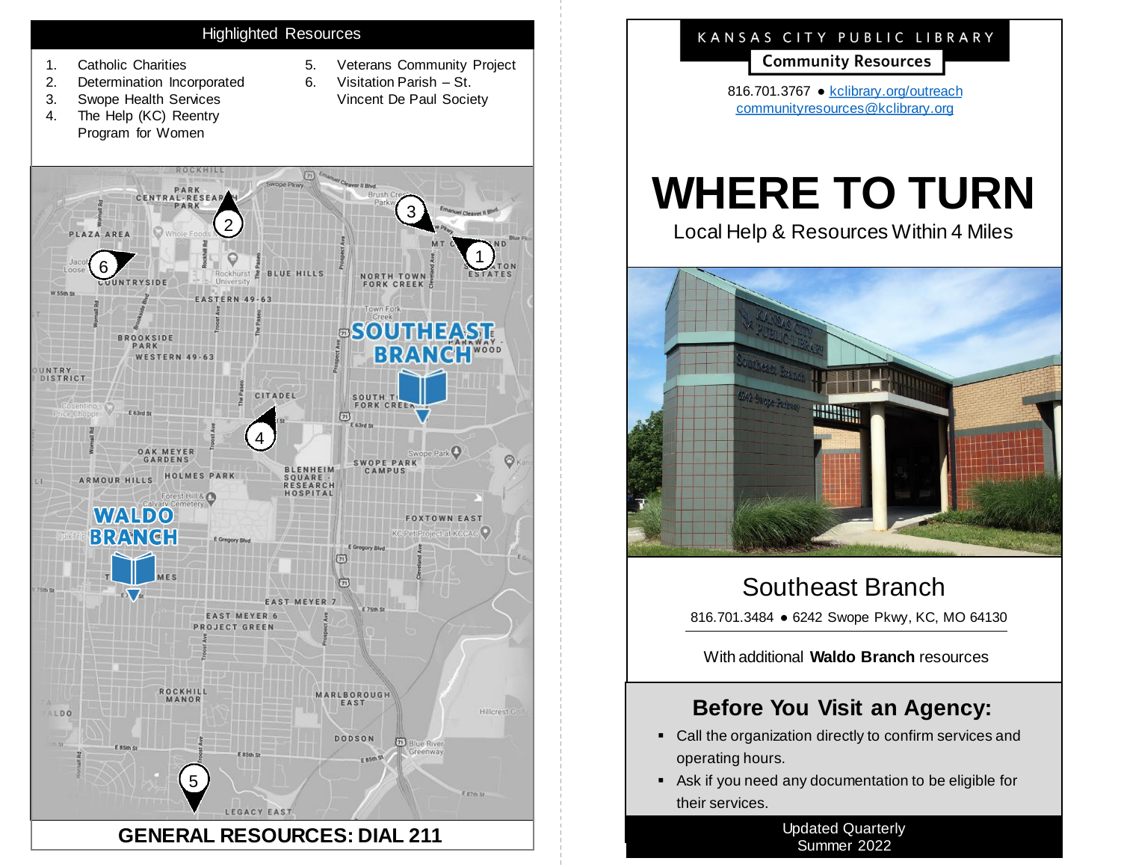#### Highlighted Resources

- 1. Catholic Charities
- 2. Determination Incorporated
- 3. Swope Health Services
- 4. The Help (KC) Reentry Program for Women
- 5. Veterans Community Project
- 6. Visitation Parish St.
	- Vincent De Paul Society



## KANSAS CITY PUBLIC LIBRARY

**Community Resources** 

816.701.3767 ● [kclibrary.org/outreach](https://kclibrary.org/outreach) [communityresources@kclibrary.org](mailto:communityresources@kclibrary.org)

# **WHERE TO TURN**

Local Help & Resources Within 4 Miles



# Southeast Branch

816.701.3484 • 6242 Swope Pkwy, KC, MO 64130

With additional **Waldo Branch** resources

## **Before You Visit an Agency:**

- Call the organization directly to confirm services and operating hours.
- Ask if you need any documentation to be eligible for their services.

Updated Quarterly Summer 2022